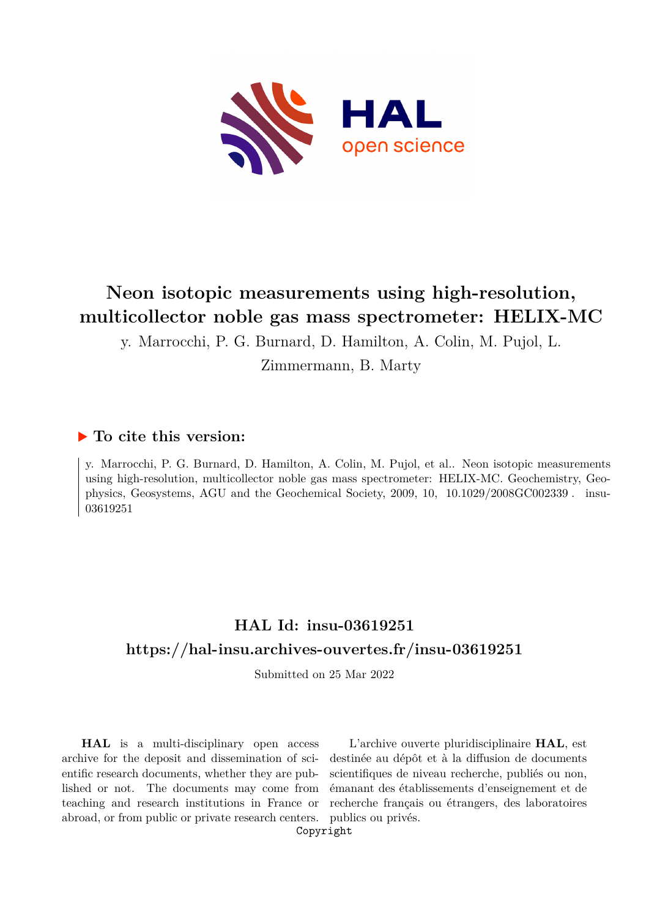

# **Neon isotopic measurements using high-resolution, multicollector noble gas mass spectrometer: HELIX-MC**

y. Marrocchi, P. G. Burnard, D. Hamilton, A. Colin, M. Pujol, L.

Zimmermann, B. Marty

## **To cite this version:**

y. Marrocchi, P. G. Burnard, D. Hamilton, A. Colin, M. Pujol, et al.. Neon isotopic measurements using high-resolution, multicollector noble gas mass spectrometer: HELIX-MC. Geochemistry, Geophysics, Geosystems, AGU and the Geochemical Society,  $2009$ ,  $10$ ,  $10.1029/2008GCO02339$ . insu-03619251

## **HAL Id: insu-03619251 <https://hal-insu.archives-ouvertes.fr/insu-03619251>**

Submitted on 25 Mar 2022

**HAL** is a multi-disciplinary open access archive for the deposit and dissemination of scientific research documents, whether they are published or not. The documents may come from teaching and research institutions in France or abroad, or from public or private research centers.

L'archive ouverte pluridisciplinaire **HAL**, est destinée au dépôt et à la diffusion de documents scientifiques de niveau recherche, publiés ou non, émanant des établissements d'enseignement et de recherche français ou étrangers, des laboratoires publics ou privés.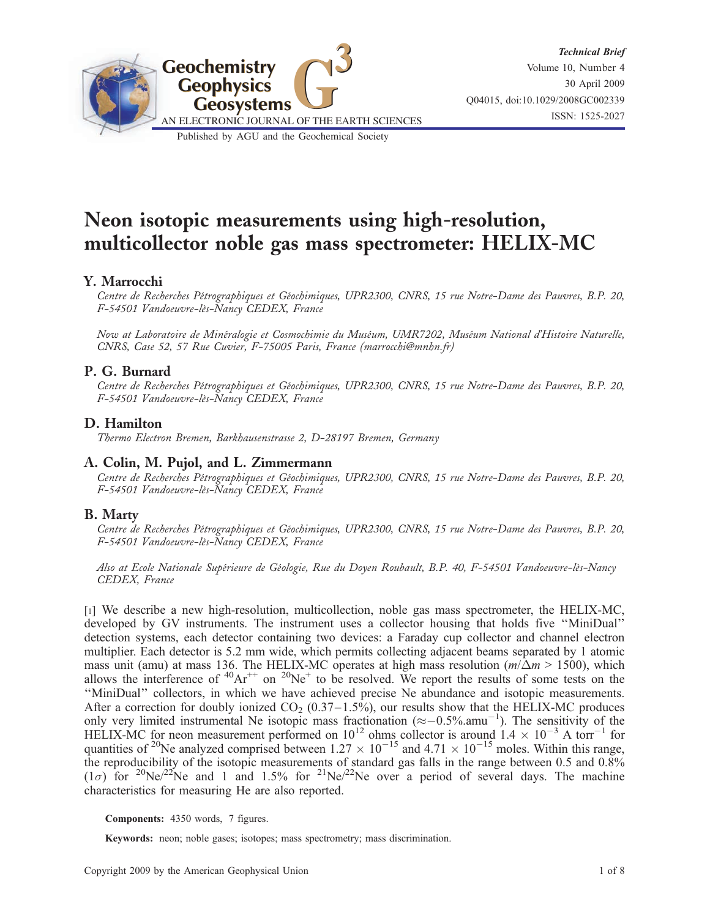

# Neon isotopic measurements using high-resolution, multicollector noble gas mass spectrometer: HELIX-MC

## Y. Marrocchi

Centre de Recherches Pétrographiques et Géochimiques, UPR2300, CNRS, 15 rue Notre-Dame des Pauvres, B.P. 20, F-54501 Vandoeuvre-lès-Nancy CEDEX, France

Now at Laboratoire de Minéralogie et Cosmochimie du Muséum, UMR7202, Muséum National d'Histoire Naturelle, CNRS, Case 52, 57 Rue Cuvier, F-75005 Paris, France (marrocchi@mnhn.fr)

## P. G. Burnard

Centre de Recherches Pétrographiques et Géochimiques, UPR2300, CNRS, 15 rue Notre-Dame des Pauvres, B.P. 20, F-54501 Vandoeuvre-lès-Nancy CEDEX, France

#### D. Hamilton

Thermo Electron Bremen, Barkhausenstrasse 2, D-28197 Bremen, Germany

#### A. Colin, M. Pujol, and L. Zimmermann

Centre de Recherches Pétrographiques et Géochimiques, UPR2300, CNRS, 15 rue Notre-Dame des Pauvres, B.P. 20, F-54501 Vandoeuvre-lès-Nancy CEDEX, France

### B. Marty

Centre de Recherches Pétrographiques et Géochimiques, UPR2300, CNRS, 15 rue Notre-Dame des Pauvres, B.P. 20, F-54501 Vandoeuvre-lès-Nancy CEDEX, France

Also at Ecole Nationale Supérieure de Géologie, Rue du Doyen Roubault, B.P. 40, F-54501 Vandoeuvre-lès-Nancy CEDEX, France

[1] We describe a new high-resolution, multicollection, noble gas mass spectrometer, the HELIX-MC, developed by GV instruments. The instrument uses a collector housing that holds five ''MiniDual'' detection systems, each detector containing two devices: a Faraday cup collector and channel electron multiplier. Each detector is 5.2 mm wide, which permits collecting adjacent beams separated by 1 atomic mass unit (amu) at mass 136. The HELIX-MC operates at high mass resolution ( $m/\Delta m > 1500$ ), which allows the interference of  ${}^{40}\text{Ar}^{++}$  on  ${}^{20}\text{Ne}^+$  to be resolved. We report the results of some tests on the ''MiniDual'' collectors, in which we have achieved precise Ne abundance and isotopic measurements. After a correction for doubly ionized  $CO<sub>2</sub>$  (0.37–1.5%), our results show that the HELIX-MC produces only very limited instrumental Ne isotopic mass fractionation  $(\approx -0.5\% . \text{amu}^{-1})$ . The sensitivity of the HELIX-MC for neon measurement performed on  $10^{12}$  ohms collector is around  $1.4 \times 10^{-3}$  A torr<sup>-1</sup> for quantities of <sup>20</sup>Ne analyzed comprised between  $1.27 \times 10^{-15}$  and  $4.71 \times 10^{-15}$  moles. Within this range, the reproducibility of the isotopic measurements of standard gas falls in the range between 0.5 and 0.8% (1 $\sigma$ ) for <sup>20</sup>Ne/<sup>22</sup>Ne and 1 and 1.5% for <sup>21</sup>Ne/<sup>22</sup>Ne over a period of several days. The machine characteristics for measuring He are also reported.

Components: 4350 words, 7 figures.

Keywords: neon; noble gases; isotopes; mass spectrometry; mass discrimination.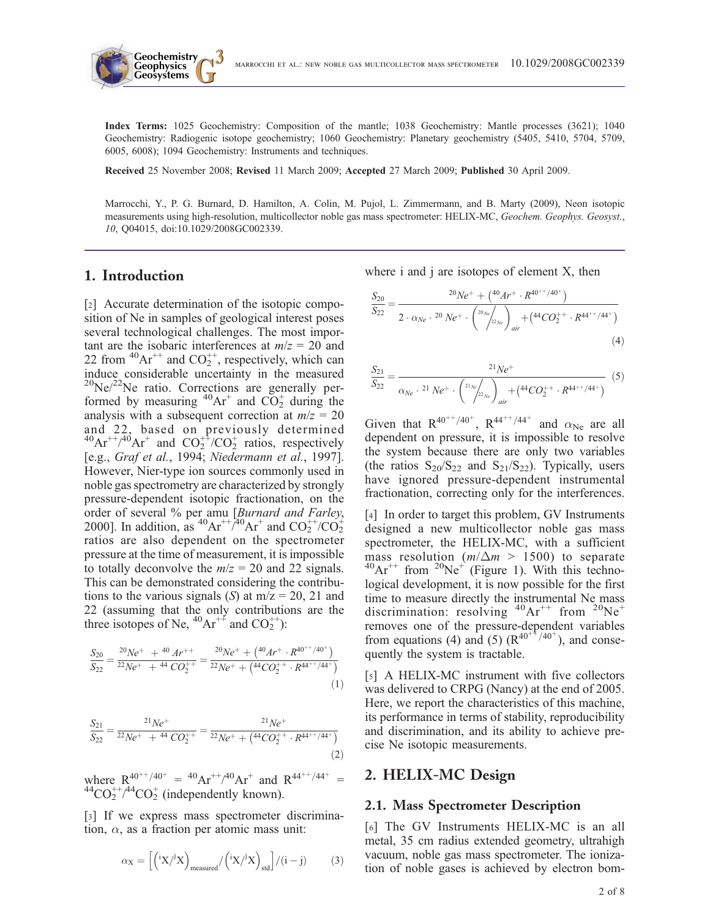Index Terms: 1025 Geochemistry: Composition of the mantle; 1038 Geochemistry: Mantle processes (3621); 1040 Geochemistry: Radiogenic isotope geochemistry; 1060 Geochemistry: Planetary geochemistry (5405, 5410, 5704, 5709, 6005, 6008); 1094 Geochemistry: Instruments and techniques.

Received 25 November 2008; Revised 11 March 2009; Accepted 27 March 2009; Published 30 April 2009.

Marrocchi, Y., P. G. Burnard, D. Hamilton, A. Colin, M. Pujol, L. Zimmermann, and B. Marty (2009), Neon isotopic measurements using high-resolution, multicollector noble gas mass spectrometer: HELIX-MC, Geochem. Geophys. Geosyst., 10, Q04015, doi:10.1029/2008GC002339.

## 1. Introduction

**Geochemistry Geophysics**

[2] Accurate determination of the isotopic composition of Ne in samples of geological interest poses several technological challenges. The most important are the isobaric interferences at  $m/z = 20$  and 22 from  ${}^{40}Ar^{++}$  and  $CO_2^{++}$ , respectively, which can induce considerable uncertainty in the measured  $^{20}$ Ne/ $^{22}$ Ne ratio. Corrections are generally performed by measuring  ${}^{40}Ar^+$  and  $CO_2^+$  during the analysis with a subsequent correction at  $m/z = 20$ and 22, based on previously determined  ${}^{40}Ar^{++}/^{40}Ar^+$  and  $CO_2^{++}/CO_2^+$  ratios, respectively [e.g., Graf et al., 1994; Niedermann et al., 1997]. However, Nier-type ion sources commonly used in noble gas spectrometry are characterized by strongly pressure-dependent isotopic fractionation, on the order of several % per amu [Burnard and Farley, 2000]. In addition, as <sup>40</sup>Ar<sup>++</sup>/<sup>40</sup>Ar<sup>+</sup> and  $CO_2^{++}/CO_2^{+}$ ratios are also dependent on the spectrometer pressure at the time of measurement, it is impossible to totally deconvolve the  $m/z = 20$  and 22 signals. This can be demonstrated considering the contributions to the various signals (S) at  $m/z = 20$ , 21 and 22 (assuming that the only contributions are the three isotopes of Ne,  $^{40}Ar^{++}$  and CO<sub>2</sub><sup>++</sup>):

$$
\frac{S_{20}}{S_{22}} = \frac{^{20}Ne^{+} + ^{40}Ar^{++}}{^{22}Ne^{+} + ^{44}CO_{2}^{++}} = \frac{^{20}Ne^{+} + (^{40}Ar^{+} \cdot R^{40^{++}/40^{+}})}{^{22}Ne^{+} + (^{44}CO_{2}^{++} \cdot R^{44^{++}/44^{+}})}
$$
\n(1)

$$
\frac{S_{21}}{S_{22}} = \frac{2^1 Ne^+}{2^2 Ne^+ + 4^4 CO_2^{++}} = \frac{2^1 Ne^+}{2^2Ne^+ + (4^4 CO_2^{++} \cdot R^{44++/44+})}
$$
\n(2)

where  $R^{40^{++}/40^{+}} = {}^{40}Ar^{++}/^{40}Ar^{+}$  and  $R^{44^{++}/44^{+}}$ where  $R^{40^{++}/40^+} = {}^{40}\text{Ar}^{++/40}\text{Ar}^+$  and  $R^{44^{++}/44^+} = {}^{44}\text{CO}_2^+ / {}^{44}\text{CO}_2^+$  (independently known).

[3] If we express mass spectrometer discrimination,  $\alpha$ , as a fraction per atomic mass unit:

$$
\alpha_X = \left[ \left( \,^i X / \,^j X \right)_{\text{measured}} / \left( \,^i X / \,^j X \right)_{\text{std}} \right] / (i - j) \tag{3}
$$

where i and j are isotopes of element X, then

$$
\frac{S_{20}}{S_{22}} = \frac{^{20}Ne^{+} + \binom{40}{4r^{+}} \cdot R^{40^{++}/40^{+}}}{2 \cdot \alpha_{Ne} \cdot {}^{20}Ne^{+} \cdot \binom{^{20}Ne}{^{22}Ne}}_{air} + \binom{44}{^{20}2^{+}} \cdot R^{44^{++}/44^{+}}}
$$
\n(4)

$$
\frac{S_{21}}{S_{22}} = \frac{2^1 Ne^+}{\alpha_{Ne} \cdot 2^1 Ne^+ \cdot \left(\frac{2^1Ne}{2^2Ne}\right)_{air} + \left(4^4CO_2^{++} \cdot R^{44^{++}/44^+}\right)} \tag{5}
$$

Given that  $R^{40^{++}/40^+}$ ,  $R^{44^{++}/44^+}$  and  $\alpha_{Ne}$  are all dependent on pressure, it is impossible to resolve the system because there are only two variables (the ratios  $S_{20}/S_{22}$  and  $S_{21}/S_{22}$ ). Typically, users have ignored pressure-dependent instrumental fractionation, correcting only for the interferences.

[4] In order to target this problem, GV Instruments designed a new multicollector noble gas mass spectrometer, the HELIX-MC, with a sufficient mass resolution ( $m/\Delta m > 1500$ ) to separate  ${}^{40}\text{Ar}^{++}$  from  ${}^{20}\text{Ne}^+$  (Figure 1). With this technological development, it is now possible for the first time to measure directly the instrumental Ne mass discrimination: resolving  ${}^{40}Ar^{++}$  from  ${}^{20}Ne^+$ removes one of the pressure-dependent variables from equations (4) and (5)  $(R^{40^{+4}/40^{+}})$ , and consequently the system is tractable.

[5] A HELIX-MC instrument with five collectors was delivered to CRPG (Nancy) at the end of 2005. Here, we report the characteristics of this machine, its performance in terms of stability, reproducibility and discrimination, and its ability to achieve precise Ne isotopic measurements.

#### 2. HELIX-MC Design

#### 2.1. Mass Spectrometer Description

[6] The GV Instruments HELIX-MC is an all metal, 35 cm radius extended geometry, ultrahigh vacuum, noble gas mass spectrometer. The ionization of noble gases is achieved by electron bom-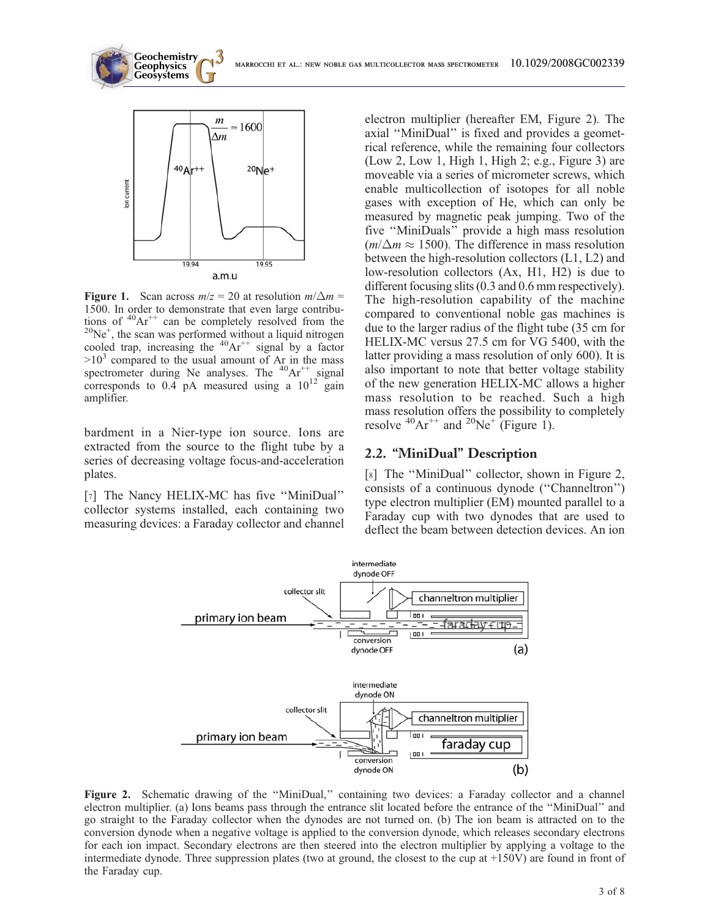

**Geochemistry Geophysics**

Figure 1. Scan across  $m/z = 20$  at resolution  $m/\Delta m =$ 1500. In order to demonstrate that even large contributions of  ${}^{40}\text{Ar}^{++}$  can be completely resolved from the  ${}^{20}\text{Ne}^+$ , the scan was performed without a liquid nitrogen cooled trap, increasing the  ${}^{40}Ar^{++}$  signal by a factor  $>10<sup>3</sup>$  compared to the usual amount of Ar in the mass spectrometer during Ne analyses. The  $40Ar^{++}$  signal corresponds to  $0.4$  pA measured using a  $10^{12}$  gain amplifier.

bardment in a Nier-type ion source. Ions are extracted from the source to the flight tube by a series of decreasing voltage focus-and-acceleration plates.

[7] The Nancy HELIX-MC has five "MiniDual" collector systems installed, each containing two measuring devices: a Faraday collector and channel electron multiplier (hereafter EM, Figure 2). The axial "MiniDual" is fixed and provides a geometrical reference, while the remaining four collectors (Low 2, Low 1, High 1, High 2; e.g., Figure 3) are moveable via a series of micrometer screws, which enable multicollection of isotopes for all noble gases with exception of He, which can only be measured by magnetic peak jumping. Two of the five ''MiniDuals'' provide a high mass resolution  $(m/\Delta m \approx 1500)$ . The difference in mass resolution between the high-resolution collectors (L1, L2) and low-resolution collectors (Ax, H1, H2) is due to different focusing slits (0.3 and 0.6 mm respectively). The high-resolution capability of the machine compared to conventional noble gas machines is due to the larger radius of the flight tube (35 cm for HELIX-MC versus 27.5 cm for VG 5400, with the latter providing a mass resolution of only 600). It is also important to note that better voltage stability of the new generation HELIX-MC allows a higher mass resolution to be reached. Such a high mass resolution offers the possibility to completely resolve  ${}^{40}\text{Ar}^{++}$  and  ${}^{20}\text{Ne}^+$  (Figure 1).

## 2.2. "MiniDual" Description

[8] The "MiniDual" collector, shown in Figure 2, consists of a continuous dynode (''Channeltron'') type electron multiplier (EM) mounted parallel to a Faraday cup with two dynodes that are used to deflect the beam between detection devices. An ion



Figure 2. Schematic drawing of the "MiniDual," containing two devices: a Faraday collector and a channel electron multiplier. (a) Ions beams pass through the entrance slit located before the entrance of the ''MiniDual'' and go straight to the Faraday collector when the dynodes are not turned on. (b) The ion beam is attracted on to the conversion dynode when a negative voltage is applied to the conversion dynode, which releases secondary electrons for each ion impact. Secondary electrons are then steered into the electron multiplier by applying a voltage to the intermediate dynode. Three suppression plates (two at ground, the closest to the cup at +150V) are found in front of the Faraday cup.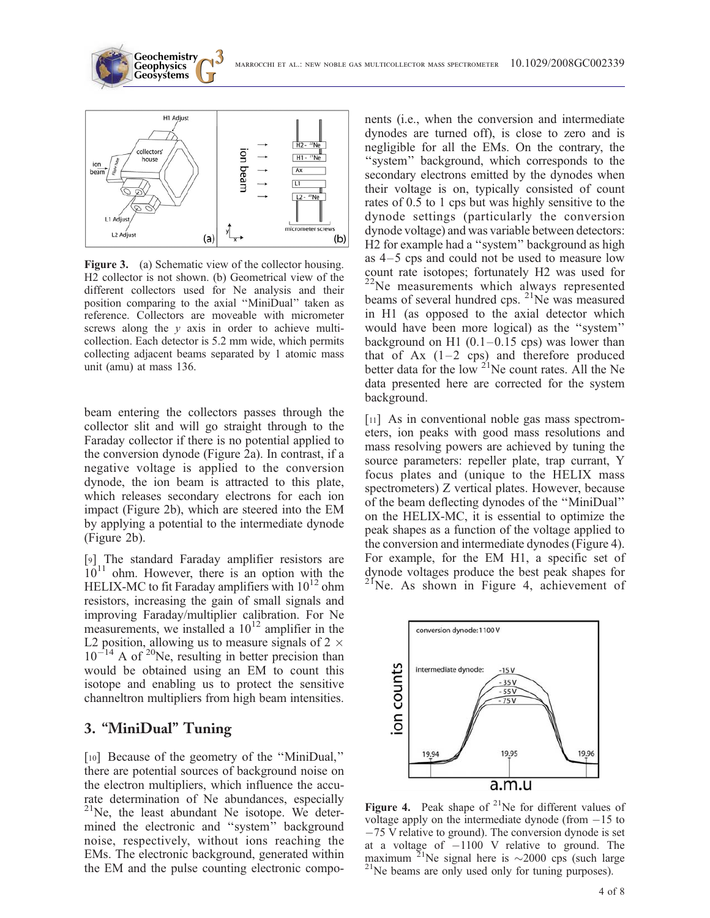**Geosystems G3** marrocchi et al.: new noble gas multicollector mass spectrometer 10.1029/2008GC002339



**Geochemistry Geophysics**

Figure 3. (a) Schematic view of the collector housing. H2 collector is not shown. (b) Geometrical view of the different collectors used for Ne analysis and their position comparing to the axial ''MiniDual'' taken as reference. Collectors are moveable with micrometer screws along the  $y$  axis in order to achieve multicollection. Each detector is 5.2 mm wide, which permits collecting adjacent beams separated by 1 atomic mass unit (amu) at mass 136.

beam entering the collectors passes through the collector slit and will go straight through to the Faraday collector if there is no potential applied to the conversion dynode (Figure 2a). In contrast, if a negative voltage is applied to the conversion dynode, the ion beam is attracted to this plate, which releases secondary electrons for each ion impact (Figure 2b), which are steered into the EM by applying a potential to the intermediate dynode (Figure 2b).

[9] The standard Faraday amplifier resistors are  $10^{11}$  ohm. However, there is an option with the HELIX-MC to fit Faraday amplifiers with  $10^{12}$  ohm resistors, increasing the gain of small signals and improving Faraday/multiplier calibration. For Ne measurements, we installed a  $10^{12}$  amplifier in the L2 position, allowing us to measure signals of 2  $\times$  $10^{-14}$  A of <sup>20</sup>Ne, resulting in better precision than would be obtained using an EM to count this isotope and enabling us to protect the sensitive channeltron multipliers from high beam intensities.

## 3. "MiniDual" Tuning

[10] Because of the geometry of the "MiniDual," there are potential sources of background noise on the electron multipliers, which influence the accurate determination of Ne abundances, especially  $21$ Ne, the least abundant Ne isotope. We determined the electronic and ''system'' background noise, respectively, without ions reaching the EMs. The electronic background, generated within the EM and the pulse counting electronic compo-

nents (i.e., when the conversion and intermediate dynodes are turned off), is close to zero and is negligible for all the EMs. On the contrary, the ''system'' background, which corresponds to the secondary electrons emitted by the dynodes when their voltage is on, typically consisted of count rates of 0.5 to 1 cps but was highly sensitive to the dynode settings (particularly the conversion dynode voltage) and was variable between detectors: H2 for example had a ''system'' background as high as 4–5 cps and could not be used to measure low count rate isotopes; fortunately H2 was used for <sup>22</sup>Ne measurements which always represented beams of several hundred cps. <sup>21</sup>Ne was measured in H1 (as opposed to the axial detector which would have been more logical) as the ''system'' background on H1  $(0.1-0.15 \text{ cps})$  was lower than that of Ax  $(1-2 \text{ cps})$  and therefore produced better data for the low  $^{21}$ Ne count rates. All the Ne data presented here are corrected for the system background.

[11] As in conventional noble gas mass spectrometers, ion peaks with good mass resolutions and mass resolving powers are achieved by tuning the source parameters: repeller plate, trap currant, Y focus plates and (unique to the HELIX mass spectrometers) Z vertical plates. However, because of the beam deflecting dynodes of the ''MiniDual'' on the HELIX-MC, it is essential to optimize the peak shapes as a function of the voltage applied to the conversion and intermediate dynodes (Figure 4). For example, for the EM H1, a specific set of dynode voltages produce the best peak shapes for <sup>21</sup>Ne. As shown in Figure 4, achievement of



Figure 4. Peak shape of  $2^{1}$ Ne for different values of voltage apply on the intermediate dynode (from  $-15$  to -75 V relative to ground). The conversion dynode is set at a voltage of  $-1100$  V relative to ground. The maximum <sup>21</sup>Ne signal here is  $\sim$ 2000 cps (such large <sup>21</sup>Ne beams are only used only for tuning purposes).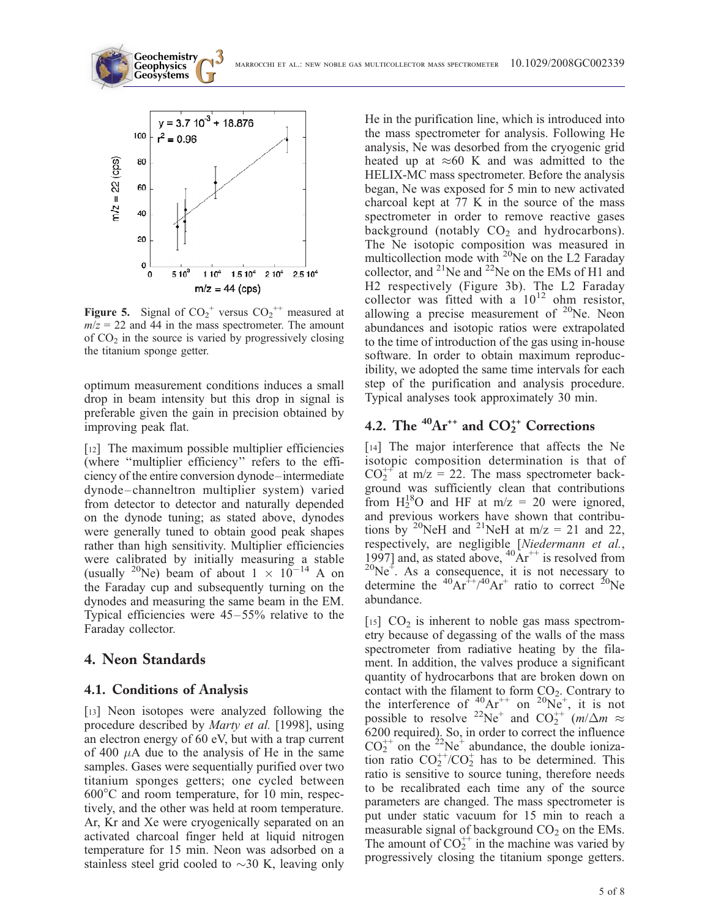**Geosystems G3** marrocchi et al.: new noble gas multicollector mass spectrometer 10.1029/2008GC002339



**Geochemistry Geophysics**

**Figure 5.** Signal of  $CO_2^+$  versus  $CO_2^{++}$  measured at  $m/z = 22$  and 44 in the mass spectrometer. The amount of  $CO<sub>2</sub>$  in the source is varied by progressively closing the titanium sponge getter.

optimum measurement conditions induces a small drop in beam intensity but this drop in signal is preferable given the gain in precision obtained by improving peak flat.

[12] The maximum possible multiplier efficiencies (where ''multiplier efficiency'' refers to the efficiency of the entire conversion dynode–intermediate dynode–channeltron multiplier system) varied from detector to detector and naturally depended on the dynode tuning; as stated above, dynodes were generally tuned to obtain good peak shapes rather than high sensitivity. Multiplier efficiencies were calibrated by initially measuring a stable (usually <sup>20</sup>Ne) beam of about  $1 \times 10^{-14}$  A on the Faraday cup and subsequently turning on the dynodes and measuring the same beam in the EM. Typical efficiencies were 45–55% relative to the Faraday collector.

## 4. Neon Standards

#### 4.1. Conditions of Analysis

[13] Neon isotopes were analyzed following the procedure described by Marty et al. [1998], using an electron energy of 60 eV, but with a trap current of 400  $\mu$ A due to the analysis of He in the same samples. Gases were sequentially purified over two titanium sponges getters; one cycled between  $600^{\circ}$ C and room temperature, for 10 min, respectively, and the other was held at room temperature. Ar, Kr and Xe were cryogenically separated on an activated charcoal finger held at liquid nitrogen temperature for 15 min. Neon was adsorbed on a stainless steel grid cooled to  $\sim$ 30 K, leaving only He in the purification line, which is introduced into the mass spectrometer for analysis. Following He analysis, Ne was desorbed from the cryogenic grid heated up at  $\approx 60$  K and was admitted to the HELIX-MC mass spectrometer. Before the analysis began, Ne was exposed for 5 min to new activated charcoal kept at 77 K in the source of the mass spectrometer in order to remove reactive gases background (notably  $CO<sub>2</sub>$  and hydrocarbons). The Ne isotopic composition was measured in multicollection mode with  $^{20}$ Ne on the L2 Faraday collector, and  $^{21}$ Ne and  $^{22}$ Ne on the EMs of H1 and H2 respectively (Figure 3b). The L2 Faraday collector was fitted with a  $10^{12}$  ohm resistor, allowing a precise measurement of  $20$ Ne. Neon abundances and isotopic ratios were extrapolated to the time of introduction of the gas using in-house software. In order to obtain maximum reproducibility, we adopted the same time intervals for each step of the purification and analysis procedure. Typical analyses took approximately 30 min.

## 4.2. The  $^{40}\text{Ar}^{++}$  and  $\text{CO}_2^{++}$  Corrections

[14] The major interference that affects the Ne isotopic composition determination is that of  $CO_2^{++}$  at m/z = 22. The mass spectrometer background was sufficiently clean that contributions from  $H_2^{18}$ O and HF at m/z = 20 were ignored, and previous workers have shown that contributions by <sup>20</sup>NeH and <sup>21</sup>NeH at m/z = 21 and 22, respectively, are negligible [Niedermann et al., 1997] and, as stated above,  ${}^{40}\text{Ar}^{++}$  is resolved from  $^{20}Ne^{\ddagger}$ . As a consequence, it is not necessary to determine the <sup>40</sup>Ar<sup>++</sup>/<sup>40</sup>Ar<sup>+</sup> ratio to correct <sup>20</sup>Ne abundance.

[ $15$ ]  $CO<sub>2</sub>$  is inherent to noble gas mass spectrometry because of degassing of the walls of the mass spectrometer from radiative heating by the filament. In addition, the valves produce a significant quantity of hydrocarbons that are broken down on contact with the filament to form  $CO<sub>2</sub>$ . Contrary to the interference of  $^{40}_{\circ}Ar^{++}$  on  $^{20}Ne^+$ , it is not possible to resolve <sup>22</sup>Ne<sup>+</sup> and CO<sub>2</sub><sup>++</sup>  $(m/\Delta m \approx$ 6200 required). So, in order to correct the influence  $CO_2^{++}$  on the <sup>22</sup>Ne<sup>+</sup> abundance, the double ionization ratio  $CO_2^{++}/CO_2^+$  has to be determined. This ratio is sensitive to source tuning, therefore needs to be recalibrated each time any of the source parameters are changed. The mass spectrometer is put under static vacuum for 15 min to reach a measurable signal of background  $CO<sub>2</sub>$  on the EMs. The amount of  $CO_2^{++}$  in the machine was varied by progressively closing the titanium sponge getters.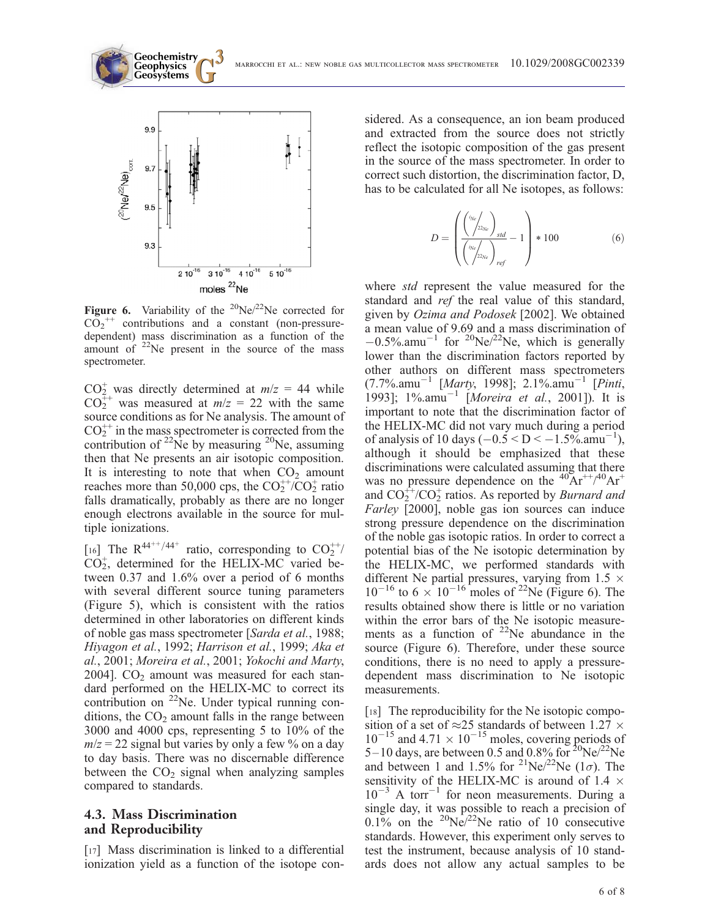



**Figure 6.** Variability of the <sup>20</sup>Ne/<sup>22</sup>Ne corrected for  $CO_2^{++}$  contributions and a constant (non-pressuredependent) mass discrimination as a function of the amount of  $22$ Ne present in the source of the mass spectrometer.

 $CO_2^+$  was directly determined at  $m/z = 44$  while  $CO_2^{++}$  was measured at  $m/z = 22$  with the same source conditions as for Ne analysis. The amount of  $CO_2^{++}$  in the mass spectrometer is corrected from the contribution of  $^{22}$ Ne by measuring  $^{20}$ Ne, assuming then that Ne presents an air isotopic composition. It is interesting to note that when  $CO<sub>2</sub>$  amount reaches more than 50,000 cps, the  $CO_2^{++}/CO_2^+$  ratio falls dramatically, probably as there are no longer enough electrons available in the source for multiple ionizations.

[16] The  $R^{44++/44+}$  ratio, corresponding to  $CO_2^{++}$  $CO<sub>2</sub><sup>+</sup>$ , determined for the HELIX-MC varied between 0.37 and 1.6% over a period of 6 months with several different source tuning parameters (Figure 5), which is consistent with the ratios determined in other laboratories on different kinds of noble gas mass spectrometer [Sarda et al., 1988; Hiyagon et al., 1992; Harrison et al., 1999; Aka et al., 2001; Moreira et al., 2001; Yokochi and Marty, 2004].  $CO<sub>2</sub>$  amount was measured for each standard performed on the HELIX-MC to correct its contribution on  $^{22}$ Ne. Under typical running conditions, the  $CO<sub>2</sub>$  amount falls in the range between 3000 and 4000 cps, representing 5 to 10% of the  $m/z = 22$  signal but varies by only a few % on a day to day basis. There was no discernable difference between the  $CO<sub>2</sub>$  signal when analyzing samples compared to standards.

### 4.3. Mass Discrimination and Reproducibility

[17] Mass discrimination is linked to a differential ionization yield as a function of the isotope considered. As a consequence, an ion beam produced and extracted from the source does not strictly reflect the isotopic composition of the gas present in the source of the mass spectrometer. In order to correct such distortion, the discrimination factor, D, has to be calculated for all Ne isotopes, as follows:

$$
D = \left(\frac{\left(\frac{i_{Ne}}{22N_e}\right)_{std}}{\left(\frac{i_{Ne}}{22N_e}\right)_{ref}} - 1\right) * 100
$$
 (6)

where std represent the value measured for the standard and ref the real value of this standard, given by Ozima and Podosek [2002]. We obtained a mean value of 9.69 and a mass discrimination of  $-0.5\%$ .amu<sup>-1</sup> for <sup>20</sup>Ne/<sup>22</sup>Ne, which is generally lower than the discrimination factors reported by other authors on different mass spectrometers  $(7.7\% .$ amu<sup>-1</sup> [*Marty*, 1998]; 2.1%.amu<sup>-1</sup> [*Pinti*, 1993]; 1%.amu<sup>-1</sup> [*Moreira et al.*, 2001]). It is important to note that the discrimination factor of the HELIX-MC did not vary much during a period of analysis of 10 days  $(-0.5 < D < -1.5\%$ .amu<sup>-1</sup>), although it should be emphasized that these discriminations were calculated assuming that there was no pressure dependence on the  $^{40}Ar^{++/40}Ar^{+}$ and  $CO_2^{++}/CO_2^+$  ratios. As reported by *Burnard and* Farley [2000], noble gas ion sources can induce strong pressure dependence on the discrimination of the noble gas isotopic ratios. In order to correct a potential bias of the Ne isotopic determination by the HELIX-MC, we performed standards with different Ne partial pressures, varying from 1.5  $\times$  $10^{-16}$  to 6  $\times 10^{-16}$  moles of <sup>22</sup>Ne (Figure 6). The results obtained show there is little or no variation within the error bars of the Ne isotopic measurements as a function of  $2^{2}$ Ne abundance in the source (Figure 6). Therefore, under these source conditions, there is no need to apply a pressuredependent mass discrimination to Ne isotopic measurements.

[18] The reproducibility for the Ne isotopic composition of a set of  $\approx$ 25 standards of between 1.27  $\times$  $10^{-15}$  and  $4.71 \times 10^{-15}$  moles, covering periods of 5–10 days, are between 0.5 and 0.8% for  $2^{0}$ Ne $/2^{2}$ Ne and between 1 and 1.5% for <sup>21</sup>Ne/<sup>22</sup>Ne (1 $\sigma$ ). The sensitivity of the HELIX-MC is around of 1.4  $\times$  $10^{-3}$  A torr<sup>-1</sup> for neon measurements. During a single day, it was possible to reach a precision of  $0.1\%$  on the <sup>20</sup>Ne<sup> $/22$ </sup>Ne ratio of 10 consecutive standards. However, this experiment only serves to test the instrument, because analysis of 10 standards does not allow any actual samples to be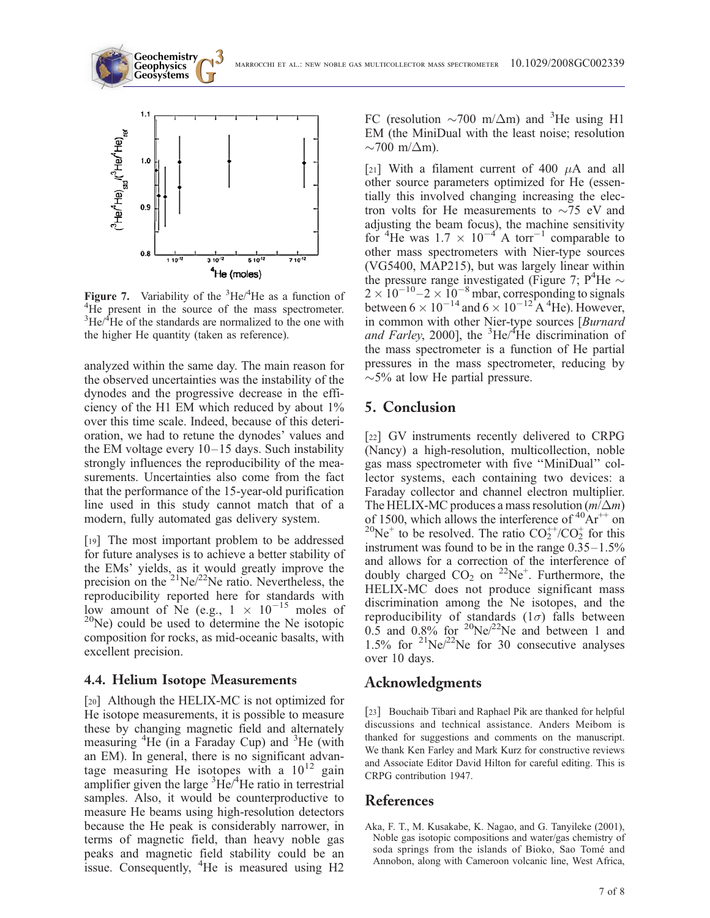

**Geochemistry Geophysics**

Figure 7. Variability of the  ${}^{3}$ He/ ${}^{4}$ He as a function of <sup>4</sup>He present in the source of the mass spectrometer.  ${}^{3}$ He/ ${}^{4}$ He of the standards are normalized to the one with the higher He quantity (taken as reference).

analyzed within the same day. The main reason for the observed uncertainties was the instability of the dynodes and the progressive decrease in the efficiency of the H1 EM which reduced by about 1% over this time scale. Indeed, because of this deterioration, we had to retune the dynodes' values and the EM voltage every 10–15 days. Such instability strongly influences the reproducibility of the measurements. Uncertainties also come from the fact that the performance of the 15-year-old purification line used in this study cannot match that of a modern, fully automated gas delivery system.

[19] The most important problem to be addressed for future analyses is to achieve a better stability of the EMs' yields, as it would greatly improve the precision on the  $^{21}Ne/^{22}Ne$  ratio. Nevertheless, the reproducibility reported here for standards with low amount of Ne (e.g.,  $1 \times 10^{-15}$  moles of  $^{20}$ Ne) could be used to determine the Ne isotopic composition for rocks, as mid-oceanic basalts, with excellent precision.

#### 4.4. Helium Isotope Measurements

[20] Although the HELIX-MC is not optimized for He isotope measurements, it is possible to measure these by changing magnetic field and alternately measuring <sup>4</sup>He (in a Faraday Cup) and <sup>3</sup>He (with an EM). In general, there is no significant advantage measuring He isotopes with a  $10^{12}$  gain amplifier given the large  ${}^{3}\text{He} / {}^{4}\text{He}$  ratio in terrestrial samples. Also, it would be counterproductive to measure He beams using high-resolution detectors because the He peak is considerably narrower, in terms of magnetic field, than heavy noble gas peaks and magnetic field stability could be an issue. Consequently, <sup>4</sup>He is measured using H2

FC (resolution  $\sim$ 700 m/ $\Delta$ m) and <sup>3</sup>He using H1 EM (the MiniDual with the least noise; resolution  $\sim$ 700 m/ $\Delta$ m).

[21] With a filament current of 400  $\mu$ A and all other source parameters optimized for He (essentially this involved changing increasing the electron volts for He measurements to  $\sim$ 75 eV and adjusting the beam focus), the machine sensitivity for <sup>4</sup>He was  $1.7 \times 10^{-4}$  A torr<sup>-1</sup> comparable to other mass spectrometers with Nier-type sources (VG5400, MAP215), but was largely linear within the pressure range investigated (Figure 7;  $P^4$ He  $\sim$  $2 \times 10^{-10} - 2 \times 10^{-8}$  mbar, corresponding to signals between  $6 \times 10^{-14}$  and  $6 \times 10^{-12}$  A <sup>4</sup>He). However, in common with other Nier-type sources [Burnard and Farley, 2000], the  ${}^{3}$ He/ ${}^{4}$ He discrimination of the mass spectrometer is a function of He partial pressures in the mass spectrometer, reducing by  $\sim$ 5% at low He partial pressure.

## 5. Conclusion

[22] GV instruments recently delivered to CRPG (Nancy) a high-resolution, multicollection, noble gas mass spectrometer with five ''MiniDual'' collector systems, each containing two devices: a Faraday collector and channel electron multiplier. The HELIX-MC produces a mass resolution  $(m/\Delta m)$ of 1500, which allows the interference of  ${}^{40}Ar^{++}$  on <sup>20</sup>Ne<sup>+</sup> to be resolved. The ratio  $CO_2^{++}/CO_2^+$  for this instrument was found to be in the range 0.35–1.5% and allows for a correction of the interference of doubly charged  $CO_2$  on <sup>22</sup>Ne<sup>+</sup>. Furthermore, the HELIX-MC does not produce significant mass discrimination among the Ne isotopes, and the reproducibility of standards  $(1\sigma)$  falls between  $0.5$  and  $0.8\%$  for <sup>20</sup>Ne/<sup>22</sup>Ne and between 1 and 1.5% for  $2^{1}Ne/2^{2}Ne$  for 30 consecutive analyses over 10 days.

## Acknowledgments

[23] Bouchaib Tibari and Raphael Pik are thanked for helpful discussions and technical assistance. Anders Meibom is thanked for suggestions and comments on the manuscript. We thank Ken Farley and Mark Kurz for constructive reviews and Associate Editor David Hilton for careful editing. This is CRPG contribution 1947.

#### References

Aka, F. T., M. Kusakabe, K. Nagao, and G. Tanyileke (2001), Noble gas isotopic compositions and water/gas chemistry of soda springs from the islands of Bioko, Sao Tomé and Annobon, along with Cameroon volcanic line, West Africa,